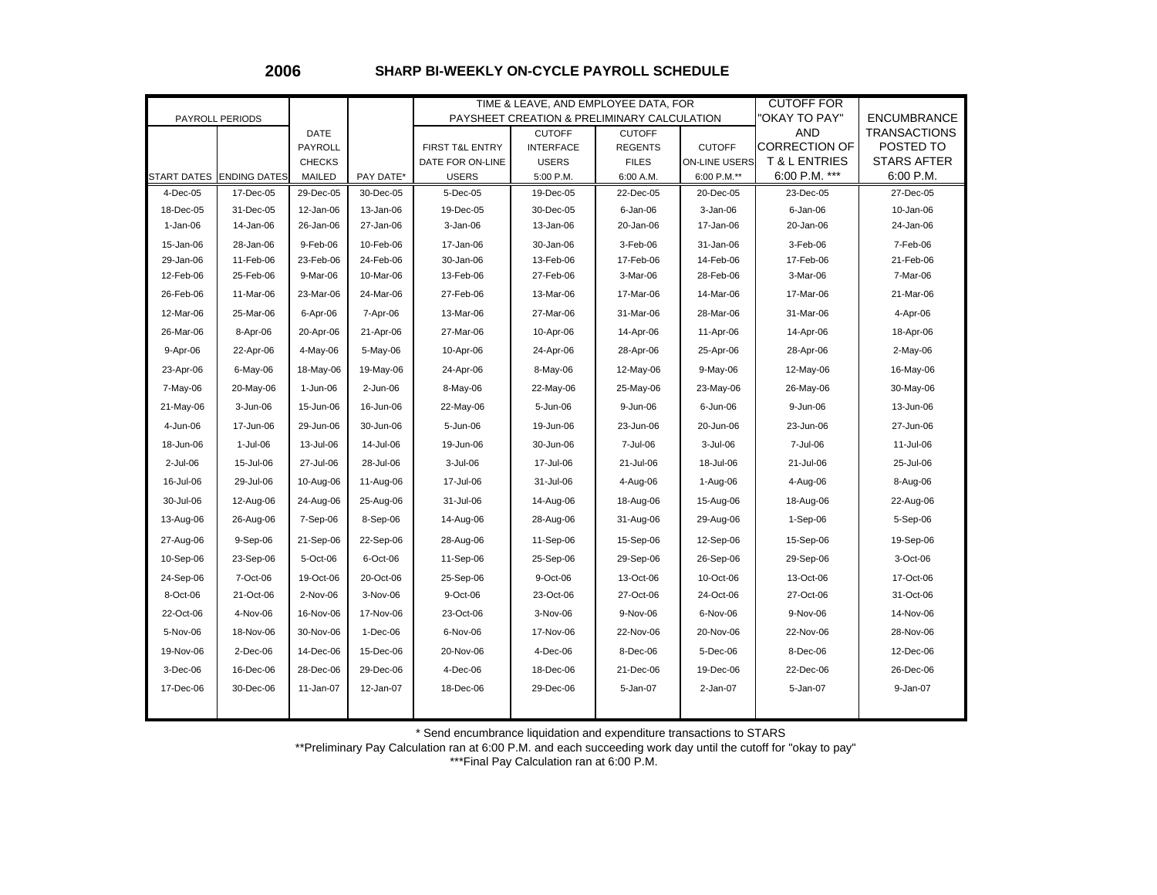**2006**

## **SHARP BI-WEEKLY ON-CYCLE PAYROLL SCHEDULE**

|                         |                                  |                       |                        | TIME & LEAVE, AND EMPLOYEE DATA, FOR |                                             |                          |                          | <b>CUTOFF FOR</b>                         |                                 |
|-------------------------|----------------------------------|-----------------------|------------------------|--------------------------------------|---------------------------------------------|--------------------------|--------------------------|-------------------------------------------|---------------------------------|
| PAYROLL PERIODS         |                                  |                       |                        |                                      | PAYSHEET CREATION & PRELIMINARY CALCULATION |                          | OKAY TO PAY"             | <b>ENCUMBRANCE</b>                        |                                 |
|                         |                                  | DATE                  |                        |                                      | <b>CUTOFF</b>                               | <b>CUTOFF</b>            |                          | <b>AND</b>                                | <b>TRANSACTIONS</b>             |
|                         |                                  | <b>PAYROLL</b>        |                        | FIRST T&L ENTRY                      | <b>INTERFACE</b>                            | <b>REGENTS</b>           | <b>CUTOFF</b>            | <b>CORRECTION OF</b>                      | POSTED TO                       |
|                         |                                  | <b>CHECKS</b>         |                        | DATE FOR ON-LINE                     | <b>USERS</b>                                | <b>FILES</b>             | <b>ON-LINE USERS</b>     | <b>T &amp; L ENTRIES</b><br>6:00 P.M. *** | <b>STARS AFTER</b><br>6:00 P.M. |
| START DATES<br>4-Dec-05 | <b>ENDING DATES</b><br>17-Dec-05 | MAILED<br>29-Dec-05   | PAY DATE*<br>30-Dec-05 | <b>USERS</b><br>5-Dec-05             | 5:00 P.M.<br>19-Dec-05                      | 6:00 A.M.<br>22-Dec-05   | 6:00 P.M.**<br>20-Dec-05 | 23-Dec-05                                 | 27-Dec-05                       |
| 18-Dec-05               | 31-Dec-05                        | 12-Jan-06             | 13-Jan-06              | 19-Dec-05                            |                                             |                          |                          | $6$ -Jan-06                               | 10-Jan-06                       |
| $1-Jan-06$              | 14-Jan-06                        | 26-Jan-06             | 27-Jan-06              | 3-Jan-06                             | 30-Dec-05<br>13-Jan-06                      | $6$ -Jan-06<br>20-Jan-06 | $3-Jan-06$<br>17-Jan-06  | 20-Jan-06                                 | 24-Jan-06                       |
|                         |                                  |                       |                        |                                      |                                             |                          |                          |                                           |                                 |
| 15-Jan-06<br>29-Jan-06  | 28-Jan-06<br>11-Feb-06           | 9-Feb-06<br>23-Feb-06 | 10-Feb-06<br>24-Feb-06 | 17-Jan-06<br>30-Jan-06               | 30-Jan-06<br>13-Feb-06                      | 3-Feb-06<br>17-Feb-06    | 31-Jan-06<br>14-Feb-06   | 3-Feb-06<br>17-Feb-06                     | 7-Feb-06<br>21-Feb-06           |
| 12-Feb-06               | 25-Feb-06                        | 9-Mar-06              | 10-Mar-06              | 13-Feb-06                            | 27-Feb-06                                   | 3-Mar-06                 | 28-Feb-06                | 3-Mar-06                                  | 7-Mar-06                        |
| 26-Feb-06               | 11-Mar-06                        | 23-Mar-06             | 24-Mar-06              | 27-Feb-06                            | 13-Mar-06                                   | 17-Mar-06                | 14-Mar-06                | 17-Mar-06                                 | 21-Mar-06                       |
| 12-Mar-06               | 25-Mar-06                        |                       |                        | 13-Mar-06                            |                                             |                          |                          |                                           |                                 |
|                         |                                  | 6-Apr-06              | 7-Apr-06               |                                      | 27-Mar-06                                   | 31-Mar-06                | 28-Mar-06                | 31-Mar-06                                 | 4-Apr-06                        |
| 26-Mar-06               | 8-Apr-06                         | 20-Apr-06             | 21-Apr-06              | 27-Mar-06                            | 10-Apr-06                                   | 14-Apr-06                | 11-Apr-06                | 14-Apr-06                                 | 18-Apr-06                       |
| 9-Apr-06                | 22-Apr-06                        | 4-May-06              | 5-May-06               | 10-Apr-06                            | 24-Apr-06                                   | 28-Apr-06                | 25-Apr-06                | 28-Apr-06                                 | 2-May-06                        |
| 23-Apr-06               | 6-May-06                         | 18-May-06             | 19-May-06              | 24-Apr-06                            | 8-May-06                                    | 12-May-06                | 9-May-06                 | 12-May-06                                 | 16-May-06                       |
| 7-May-06                | 20-May-06                        | 1-Jun-06              | 2-Jun-06               | 8-May-06                             | 22-May-06                                   | 25-May-06                | 23-May-06                | 26-May-06                                 | 30-May-06                       |
| 21-May-06               | 3-Jun-06                         | 15-Jun-06             | 16-Jun-06              | 22-May-06                            | 5-Jun-06                                    | 9-Jun-06                 | 6-Jun-06                 | 9-Jun-06                                  | 13-Jun-06                       |
| 4-Jun-06                | 17-Jun-06                        | 29-Jun-06             | 30-Jun-06              | 5-Jun-06                             | 19-Jun-06                                   | 23-Jun-06                | 20-Jun-06                | 23-Jun-06                                 | 27-Jun-06                       |
| 18-Jun-06               | 1-Jul-06                         | 13-Jul-06             | 14-Jul-06              | 19-Jun-06                            | 30-Jun-06                                   | 7-Jul-06                 | 3-Jul-06                 | 7-Jul-06                                  | 11-Jul-06                       |
| 2-Jul-06                | 15-Jul-06                        | 27-Jul-06             | 28-Jul-06              | 3-Jul-06                             | 17-Jul-06                                   | 21-Jul-06                | 18-Jul-06                | 21-Jul-06                                 | 25-Jul-06                       |
| 16-Jul-06               | 29-Jul-06                        | 10-Aug-06             | 11-Aug-06              | 17-Jul-06                            | 31-Jul-06                                   | 4-Aug-06                 | 1-Aug-06                 | 4-Aug-06                                  | 8-Aug-06                        |
| 30-Jul-06               | 12-Aug-06                        | 24-Aug-06             | 25-Aug-06              | 31-Jul-06                            | 14-Aug-06                                   | 18-Aug-06                | 15-Aug-06                | 18-Aug-06                                 | 22-Aug-06                       |
| 13-Aug-06               | 26-Aug-06                        | 7-Sep-06              | 8-Sep-06               | 14-Aug-06                            | 28-Aug-06                                   | 31-Aug-06                | 29-Aug-06                | 1-Sep-06                                  | 5-Sep-06                        |
| 27-Aug-06               | 9-Sep-06                         | 21-Sep-06             | 22-Sep-06              | 28-Aug-06                            | 11-Sep-06                                   | 15-Sep-06                | 12-Sep-06                | 15-Sep-06                                 | 19-Sep-06                       |
| 10-Sep-06               | 23-Sep-06                        | 5-Oct-06              | 6-Oct-06               | 11-Sep-06                            | 25-Sep-06                                   | 29-Sep-06                | 26-Sep-06                | 29-Sep-06                                 | 3-Oct-06                        |
| 24-Sep-06               | 7-Oct-06                         | 19-Oct-06             | 20-Oct-06              | 25-Sep-06                            | 9-Oct-06                                    | 13-Oct-06                | 10-Oct-06                | 13-Oct-06                                 | 17-Oct-06                       |
| 8-Oct-06                | 21-Oct-06                        | 2-Nov-06              | 3-Nov-06               | 9-Oct-06                             | 23-Oct-06                                   | 27-Oct-06                | 24-Oct-06                | 27-Oct-06                                 | 31-Oct-06                       |
| 22-Oct-06               | 4-Nov-06                         | 16-Nov-06             | 17-Nov-06              | 23-Oct-06                            | 3-Nov-06                                    | 9-Nov-06                 | 6-Nov-06                 | 9-Nov-06                                  | 14-Nov-06                       |
| 5-Nov-06                | 18-Nov-06                        | 30-Nov-06             | $1-Dec-06$             | 6-Nov-06                             | 17-Nov-06                                   | 22-Nov-06                | 20-Nov-06                | 22-Nov-06                                 | 28-Nov-06                       |
| 19-Nov-06               | 2-Dec-06                         | 14-Dec-06             | 15-Dec-06              | 20-Nov-06                            | 4-Dec-06                                    | 8-Dec-06                 | 5-Dec-06                 | 8-Dec-06                                  | 12-Dec-06                       |
| 3-Dec-06                | 16-Dec-06                        | 28-Dec-06             | 29-Dec-06              | 4-Dec-06                             | 18-Dec-06                                   | 21-Dec-06                | 19-Dec-06                | 22-Dec-06                                 | 26-Dec-06                       |
| 17-Dec-06               | 30-Dec-06                        | 11-Jan-07             | 12-Jan-07              | 18-Dec-06                            | 29-Dec-06                                   | 5-Jan-07                 | 2-Jan-07                 | 5-Jan-07                                  | 9-Jan-07                        |
|                         |                                  |                       |                        |                                      |                                             |                          |                          |                                           |                                 |

\* Send encumbrance liquidation and expenditure transactions to STARS

\*\*Preliminary Pay Calculation ran at 6:00 P.M. and each succeeding work day until the cutoff for "okay to pay" \*\*\*Final Pay Calculation ran at 6:00 P.M.